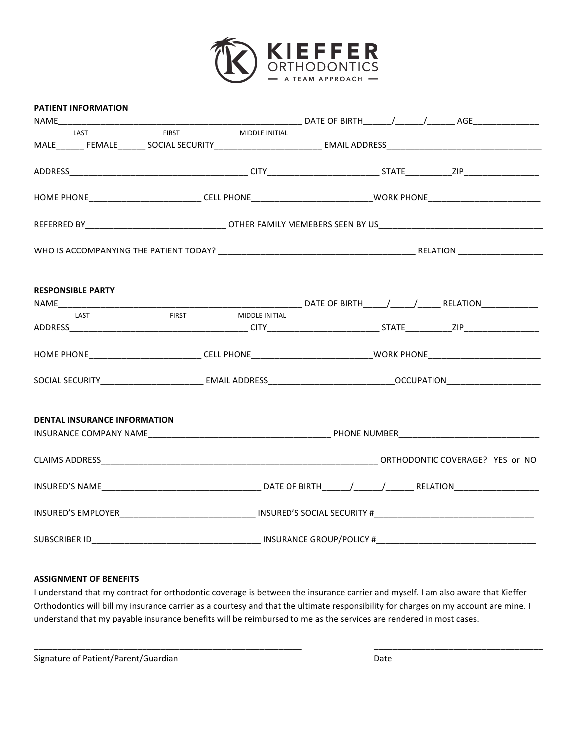

|  | <b>PATIENT INFORMATION</b>          |                                                                                                                      |                                                |                                                                                                                      |                                                                                                                |  |  |  |
|--|-------------------------------------|----------------------------------------------------------------------------------------------------------------------|------------------------------------------------|----------------------------------------------------------------------------------------------------------------------|----------------------------------------------------------------------------------------------------------------|--|--|--|
|  |                                     |                                                                                                                      |                                                |                                                                                                                      |                                                                                                                |  |  |  |
|  | LAST                                | <b>FIRST</b>                                                                                                         | MIDDLE INITIAL                                 |                                                                                                                      |                                                                                                                |  |  |  |
|  |                                     | MALE_______ FEMALE_______ SOCIAL SECURITY______________________________EMAIL ADDRESS________________________________ |                                                |                                                                                                                      |                                                                                                                |  |  |  |
|  |                                     |                                                                                                                      |                                                |                                                                                                                      |                                                                                                                |  |  |  |
|  |                                     |                                                                                                                      |                                                | HOME PHONE______________________________CELL PHONE_______________________________WORK PHONE_________________________ |                                                                                                                |  |  |  |
|  |                                     |                                                                                                                      |                                                |                                                                                                                      |                                                                                                                |  |  |  |
|  |                                     |                                                                                                                      |                                                |                                                                                                                      |                                                                                                                |  |  |  |
|  | <b>RESPONSIBLE PARTY</b>            |                                                                                                                      |                                                |                                                                                                                      |                                                                                                                |  |  |  |
|  |                                     |                                                                                                                      |                                                |                                                                                                                      |                                                                                                                |  |  |  |
|  | LAST                                |                                                                                                                      | FIRST MIDDLE INITIAL                           |                                                                                                                      |                                                                                                                |  |  |  |
|  |                                     |                                                                                                                      |                                                |                                                                                                                      |                                                                                                                |  |  |  |
|  |                                     |                                                                                                                      |                                                |                                                                                                                      | HOME PHONE____________________________CELL PHONE_______________________________WORK PHONE_____________________ |  |  |  |
|  |                                     |                                                                                                                      |                                                |                                                                                                                      |                                                                                                                |  |  |  |
|  |                                     |                                                                                                                      |                                                |                                                                                                                      |                                                                                                                |  |  |  |
|  | <b>DENTAL INSURANCE INFORMATION</b> |                                                                                                                      |                                                |                                                                                                                      |                                                                                                                |  |  |  |
|  |                                     |                                                                                                                      |                                                |                                                                                                                      |                                                                                                                |  |  |  |
|  |                                     |                                                                                                                      |                                                |                                                                                                                      |                                                                                                                |  |  |  |
|  |                                     |                                                                                                                      |                                                |                                                                                                                      |                                                                                                                |  |  |  |
|  |                                     |                                                                                                                      | INSURED'S EMPLOYER INSURED'S SOCIAL SECURITY # |                                                                                                                      |                                                                                                                |  |  |  |
|  |                                     |                                                                                                                      |                                                |                                                                                                                      |                                                                                                                |  |  |  |

## **ASSIGNMENT OF BENEFITS**

I understand that my contract for orthodontic coverage is between the insurance carrier and myself. I am also aware that Kieffer Orthodontics will bill my insurance carrier as a courtesy and that the ultimate responsibility for charges on my account are mine. I understand that my payable insurance benefits will be reimbursed to me as the services are rendered in most cases.

\_\_\_\_\_\_\_\_\_\_\_\_\_\_\_\_\_\_\_\_\_\_\_\_\_\_\_\_\_\_\_\_\_\_\_\_\_\_\_\_\_\_\_\_\_\_\_\_\_\_\_\_\_\_\_\_\_ \_\_\_\_\_\_\_\_\_\_\_\_\_\_\_\_\_\_\_\_\_\_\_\_\_\_\_\_\_\_\_\_\_\_\_\_

Signature of Patient/Parent/Guardian Date by a state of the Date of Patient Date